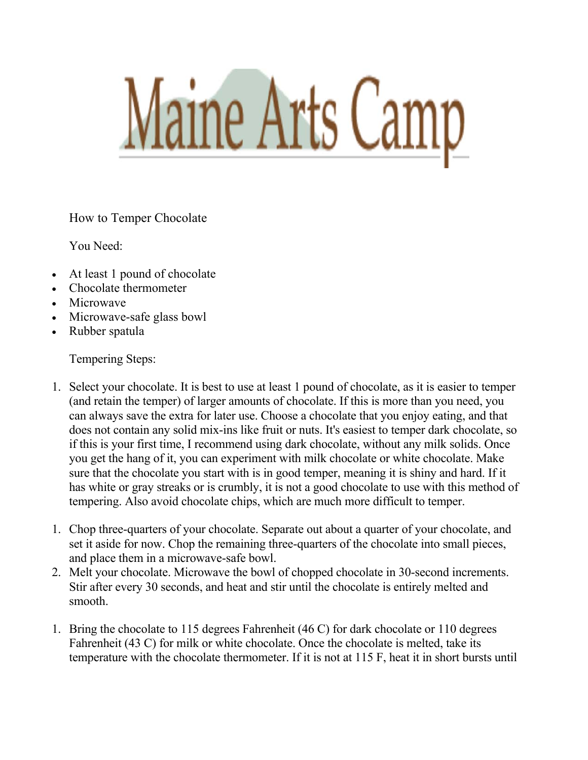

How to Temper Chocolate

You Need:

- At least 1 pound of chocolate
- Chocolate thermometer
- Microwave
- Microwave-safe glass bowl
- Rubber spatula

Tempering Steps:

- 1. Select your chocolate. It is best to use at least 1 pound of chocolate, as it is easier to temper (and retain the temper) of larger amounts of chocolate. If this is more than you need, you can always save the extra for later use. Choose a chocolate that you enjoy eating, and that does not contain any solid mix-ins like fruit or nuts. It's easiest to temper dark chocolate, so if this is your first time, I recommend using dark chocolate, without any milk solids. Once you get the hang of it, you can experiment with milk chocolate or white chocolate. Make sure that the chocolate you start with is in good temper, meaning it is shiny and hard. If it has white or gray streaks or is crumbly, it is not a good chocolate to use with this method of tempering. Also avoid chocolate chips, which are much more difficult to temper.
- 1. Chop three-quarters of your chocolate. Separate out about a quarter of your chocolate, and set it aside for now. Chop the remaining three-quarters of the chocolate into small pieces, and place them in a microwave-safe bowl.
- 2. Melt your chocolate. Microwave the bowl of chopped chocolate in 30-second increments. Stir after every 30 seconds, and heat and stir until the chocolate is entirely melted and smooth.
- 1. Bring the chocolate to 115 degrees Fahrenheit (46 C) for dark chocolate or 110 degrees Fahrenheit (43 C) for milk or white chocolate. Once the chocolate is melted, take its temperature with the chocolate thermometer. If it is not at 115 F, heat it in short bursts until